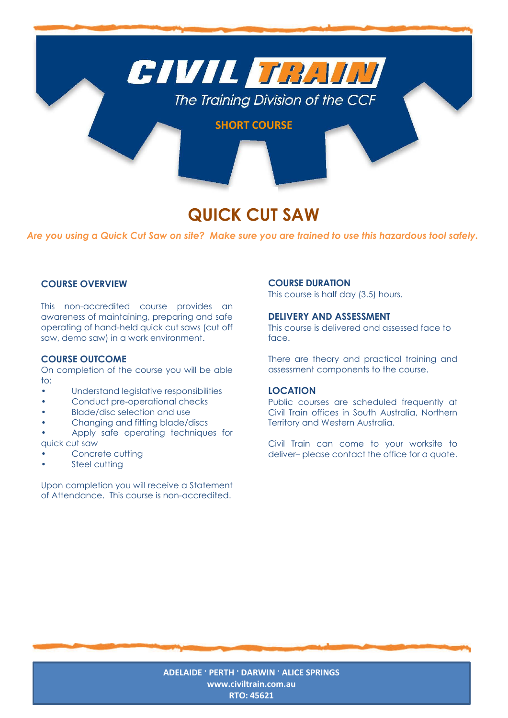

# **QUICK CUT SAW**

*Are you using a Quick Cut Saw on site? Make sure you are trained to use this hazardous tool safely.*

## **COURSE OVERVIEW**

This non-accredited course provides an awareness of maintaining, preparing and safe operating of hand-held quick cut saws (cut off saw, demo saw) in a work environment.

### **COURSE OUTCOME**

On completion of the course you will be able to:

- Understand legislative responsibilities
- Conduct pre-operational checks
- Blade/disc selection and use
- Changing and fitting blade/discs

• Apply safe operating techniques for quick cut saw

- Concrete cutting
- Steel cutting

Upon completion you will receive a Statement of Attendance. This course is non-accredited.

#### **COURSE DURATION**

This course is half day (3.5) hours.

## **DELIVERY AND ASSESSMENT**

This course is delivered and assessed face to face.

There are theory and practical training and assessment components to the course.

## **LOCATION**

Public courses are scheduled frequently at Civil Train offices in South Australia, Northern Territory and Western Australia.

Civil Train can come to your worksite to deliver– please contact the office for a quote.

**ADELAIDE · PERTH · DARWIN · ALICE SPRINGS [www.civiltrain.com.au](http://www.civiltrain.com.au/) RTO: 45621**